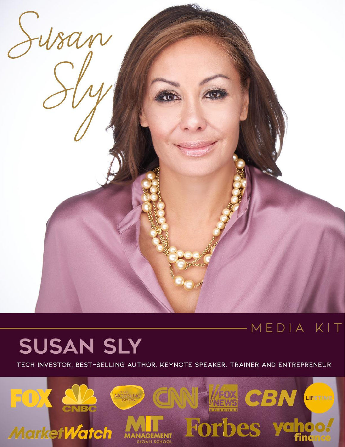

## MEDIA KIT

# **SUSAN SLY**

TECH INVESTOR, BEST-SELLING AUTHOR, KEYNOTE SPEAKER, TRAINER AND ENTREPRENEUR

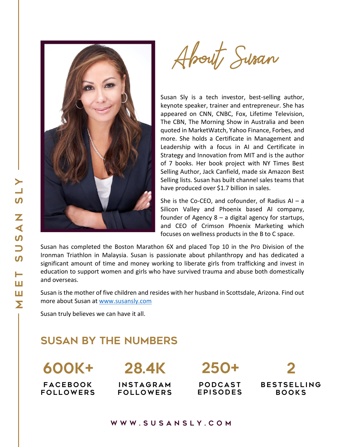

About Susan

Susan Sly is a tech investor, best-selling author, keynote speaker, trainer and entrepreneur. She has appeared on CNN, CNBC, Fox, Lifetime Television, The CBN, The Morning Show in Australia and been quoted in MarketWatch, Yahoo Finance, Forbes, and more. She holds a Certificate in Management and Leadership with a focus in AI and Certificate in Strategy and Innovation from MIT and is the author of 7 books. Her book project with NY Times Best Selling Author, Jack Canfield, made six Amazon Best Selling lists. Susan has built channel sales teams that have produced over \$1.7 billion in sales.

She is the Co-CEO, and cofounder, of Radius  $AI - a$ Silicon Valley and Phoenix based AI company, founder of Agency 8 – a digital agency for startups, and CEO of Crimson Phoenix Marketing which focuses on wellness products in the B to C space.

Susan has completed the Boston Marathon 6X and placed Top 10 in the Pro Division of the Ironman Triathlon in Malaysia. Susan is passionate about philanthropy and has dedicated a significant amount of time and money working to liberate girls from trafficking and invest in education to support women and girls who have survived trauma and abuse both domestically and overseas.

Susan is the mother of five children and resides with her husband in Scottsdale, Arizona. Find out more about Susan at [www.susansly.com](file:///D:/Susan%20Sly/Documents/Word/Output/www.susansly.com)

Susan truly believes we can have it all.

#### Susan by the Numbers

FACEBOOK **b o b o b o b o b o b o b o b o b** FOLLOWERS

# 28.4k 600K+

INSTAGRAM FOLLOWERS

250+

PODCAST EPISODES

 $\boldsymbol{P}$ **BESTSELLING BOOKS**